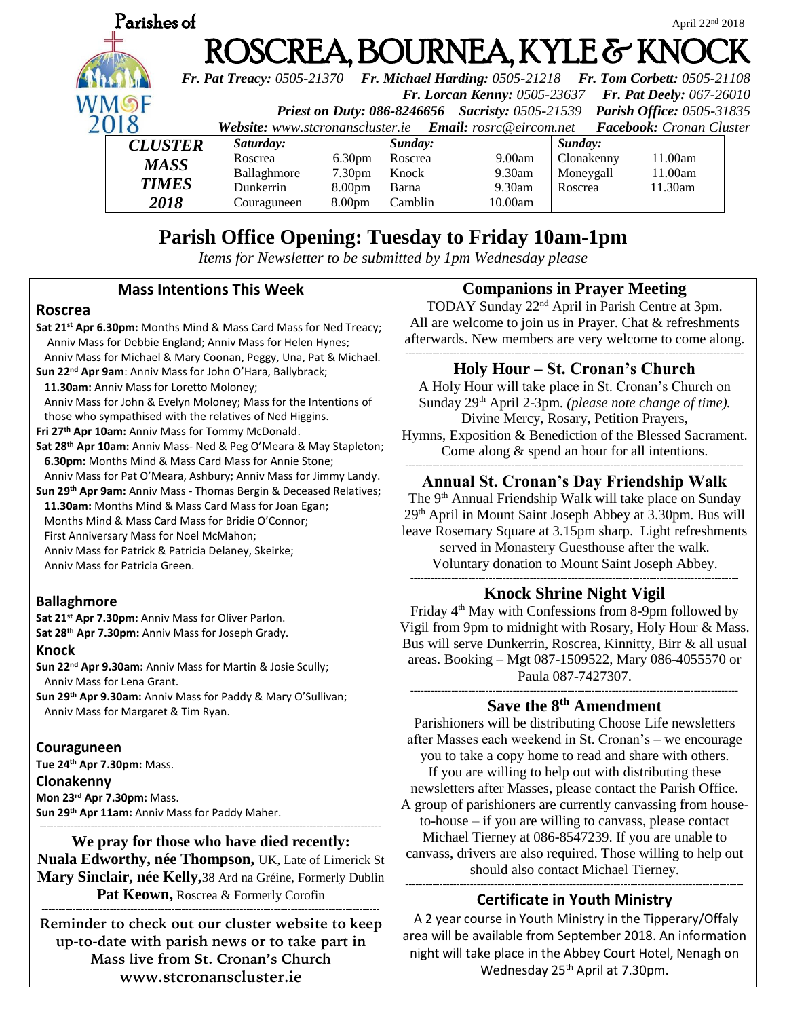

# **Parish Office Opening: Tuesday to Friday 10am-1pm**

*Items for Newsletter to be submitted by 1pm Wednesday please*

### **Mass Intentions This Week**

### **Roscrea**

**Sat 21st Apr 6.30pm:** Months Mind & Mass Card Mass for Ned Treacy; Anniv Mass for Debbie England; Anniv Mass for Helen Hynes; Anniv Mass for Michael & Mary Coonan, Peggy, Una, Pat & Michael. **Sun 22nd Apr 9am**: Anniv Mass for John O'Hara, Ballybrack;  **11.30am:** Anniv Mass for Loretto Moloney; Anniv Mass for John & Evelyn Moloney; Mass for the Intentions of those who sympathised with the relatives of Ned Higgins. **Fri 27th Apr 10am:** Anniv Mass for Tommy McDonald. **Sat 28th Apr 10am:** Anniv Mass- Ned & Peg O'Meara & May Stapleton;  **6.30pm:** Months Mind & Mass Card Mass for Annie Stone; Anniv Mass for Pat O'Meara, Ashbury; Anniv Mass for Jimmy Landy. **Sun 29th Apr 9am:** Anniv Mass - Thomas Bergin & Deceased Relatives; **11.30am:** Months Mind & Mass Card Mass for Joan Egan; Months Mind & Mass Card Mass for Bridie O'Connor; First Anniversary Mass for Noel McMahon; Anniv Mass for Patrick & Patricia Delaney, Skeirke; Anniv Mass for Patricia Green.

# **Ballaghmore**

**Sat 21st Apr 7.30pm:** Anniv Mass for Oliver Parlon. **Sat 28th Apr 7.30pm:** Anniv Mass for Joseph Grady.

### **Knock**

**Sun 22nd Apr 9.30am:** Anniv Mass for Martin & Josie Scully; Anniv Mass for Lena Grant.

**Sun 29th Apr 9.30am:** Anniv Mass for Paddy & Mary O'Sullivan; Anniv Mass for Margaret & Tim Ryan.

### **Couraguneen**

**Tue 24th Apr 7.30pm:** Mass. **Clonakenny Mon 23rd Apr 7.30pm:** Mass. **Sun 29th Apr 11am:** Anniv Mass for Paddy Maher.

#### ---------------------------------------------------------------------------------------------------- **We pray for those who have died recently:**

**Nuala Edworthy, née Thompson,** UK, Late of Limerick St **Mary Sinclair, née Kelly,**38 Ard na Gréine, Formerly Dublin Pat Keown, Roscrea & Formerly Corofin

--------------------------------------------------------------------------------------------------- **Reminder to check out our cluster website to keep up-to-date with parish news or to take part in Mass live from St. Cronan's Church www.stcronanscluster.ie**

### **Companions in Prayer Meeting**

TODAY Sunday 22nd April in Parish Centre at 3pm. All are welcome to join us in Prayer. Chat & refreshments afterwards. New members are very welcome to come along. ---------------------------------------------------------------------------------------------------

# **Holy Hour – St. Cronan's Church**

A Holy Hour will take place in St. Cronan's Church on Sunday 29<sup>th</sup> April 2-3pm. *(please note change of time)*. Divine Mercy, Rosary, Petition Prayers, Hymns, Exposition & Benediction of the Blessed Sacrament. Come along & spend an hour for all intentions.

#### --------------------------------------------------------------------------------------------------- **Annual St. Cronan's Day Friendship Walk**

The 9<sup>th</sup> Annual Friendship Walk will take place on Sunday 29th April in Mount Saint Joseph Abbey at 3.30pm. Bus will leave Rosemary Square at 3.15pm sharp. Light refreshments served in Monastery Guesthouse after the walk. Voluntary donation to Mount Saint Joseph Abbey.

#### ------------------------------------------------------------------------------------------------ **Knock Shrine Night Vigil**

Friday 4th May with Confessions from 8-9pm followed by Vigil from 9pm to midnight with Rosary, Holy Hour & Mass. Bus will serve Dunkerrin, Roscrea, Kinnitty, Birr & all usual areas. Booking – Mgt 087-1509522, Mary 086-4055570 or Paula 087-7427307.

------------------------------------------------------------------------------------------------ **Save the 8th Amendment**

Parishioners will be distributing Choose Life newsletters after Masses each weekend in St. Cronan's – we encourage you to take a copy home to read and share with others. If you are willing to help out with distributing these newsletters after Masses, please contact the Parish Office. A group of parishioners are currently canvassing from houseto-house – if you are willing to canvass, please contact Michael Tierney at 086-8547239. If you are unable to canvass, drivers are also required. Those willing to help out should also contact Michael Tierney. **---------------------------------------------------------------------------------------------------**

# **Certificate in Youth Ministry**

A 2 year course in Youth Ministry in the Tipperary/Offaly area will be available from September 2018. An information night will take place in the Abbey Court Hotel, Nenagh on Wednesday 25<sup>th</sup> April at 7.30pm.